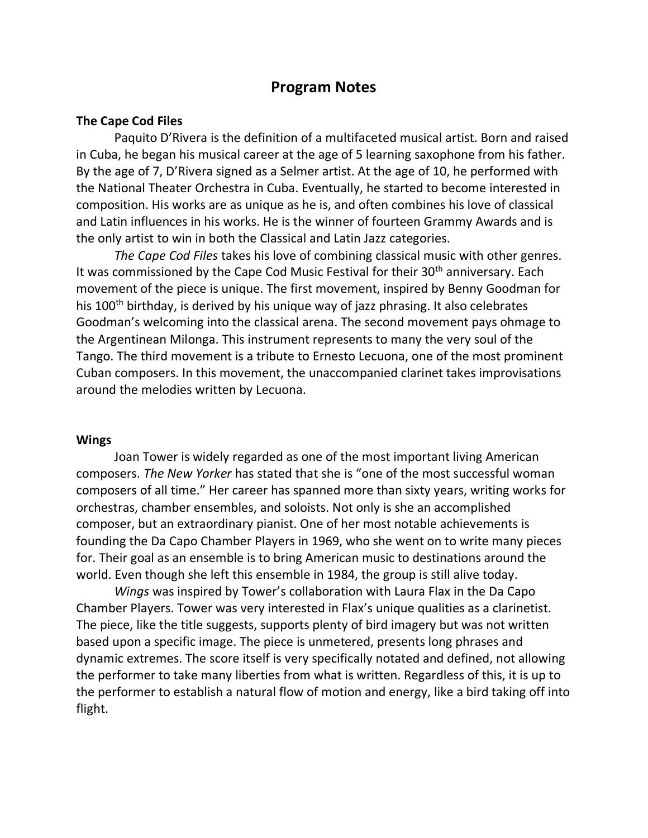# **Program Notes**

## **The Cape Cod Files**

Paquito D'Rivera is the definition of a multifaceted musical artist. Born and raised in Cuba, he began his musical career at the age of 5 learning saxophone from his father. By the age of 7, D'Rivera signed as a Selmer artist. At the age of 10, he performed with the National Theater Orchestra in Cuba. Eventually, he started to become interested in composition. His works are as unique as he is, and often combines his love of classical and Latin influences in his works. He is the winner of fourteen Grammy Awards and is the only artist to win in both the Classical and Latin Jazz categories.

*The Cape Cod Files* takes his love of combining classical music with other genres. It was commissioned by the Cape Cod Music Festival for their  $30<sup>th</sup>$  anniversary. Each movement of the piece is unique. The first movement, inspired by Benny Goodman for his 100<sup>th</sup> birthday, is derived by his unique way of jazz phrasing. It also celebrates Goodman's welcoming into the classical arena. The second movement pays ohmage to the Argentinean Milonga. This instrument represents to many the very soul of the Tango. The third movement is a tribute to Ernesto Lecuona, one of the most prominent Cuban composers. In this movement, the unaccompanied clarinet takes improvisations around the melodies written by Lecuona.

#### **Wings**

Joan Tower is widely regarded as one of the most important living American composers. *The New Yorker* has stated that she is "one of the most successful woman composers of all time." Her career has spanned more than sixty years, writing works for orchestras, chamber ensembles, and soloists. Not only is she an accomplished composer, but an extraordinary pianist. One of her most notable achievements is founding the Da Capo Chamber Players in 1969, who she went on to write many pieces for. Their goal as an ensemble is to bring American music to destinations around the world. Even though she left this ensemble in 1984, the group is still alive today.

*Wings* was inspired by Tower's collaboration with Laura Flax in the Da Capo Chamber Players. Tower was very interested in Flax's unique qualities as a clarinetist. The piece, like the title suggests, supports plenty of bird imagery but was not written based upon a specific image. The piece is unmetered, presents long phrases and dynamic extremes. The score itself is very specifically notated and defined, not allowing the performer to take many liberties from what is written. Regardless of this, it is up to the performer to establish a natural flow of motion and energy, like a bird taking off into flight.